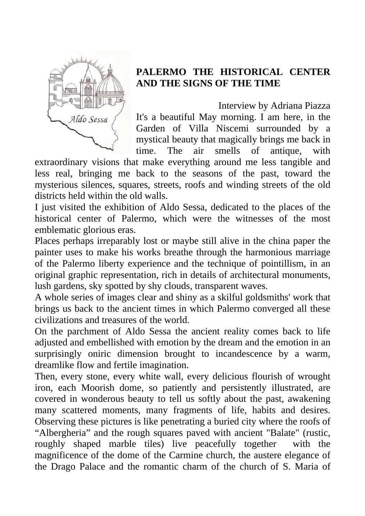

## **PALERMO THE HISTORICAL CENTER AND THE SIGNS OF THE TIME**

Interview by Adriana Piazza It's a beautiful May morning. I am here, in the Garden of Villa Niscemi surrounded by a mystical beauty that magically brings me back in time. The air smells of antique, with

extraordinary visions that make everything around me less tangible and less real, bringing me back to the seasons of the past, toward the mysterious silences, squares, streets, roofs and winding streets of the old districts held within the old walls.

I just visited the exhibition of Aldo Sessa, dedicated to the places of the historical center of Palermo, which were the witnesses of the most emblematic glorious eras.

Places perhaps irreparably lost or maybe still alive in the china paper the painter uses to make his works breathe through the harmonious marriage of the Palermo liberty experience and the technique of pointillism, in an original graphic representation, rich in details of architectural monuments, lush gardens, sky spotted by shy clouds, transparent waves.

A whole series of images clear and shiny as a skilful goldsmiths' work that brings us back to the ancient times in which Palermo converged all these civilizations and treasures of the world.

On the parchment of Aldo Sessa the ancient reality comes back to life adjusted and embellished with emotion by the dream and the emotion in an surprisingly oniric dimension brought to incandescence by a warm, dreamlike flow and fertile imagination.

Then, every stone, every white wall, every delicious flourish of wrought iron, each Moorish dome, so patiently and persistently illustrated, are covered in wonderous beauty to tell us softly about the past, awakening many scattered moments, many fragments of life, habits and desires. Observing these pictures is like penetrating a buried city where the roofs of "Albergheria" and the rough squares paved with ancient "Balate" (rustic, roughly shaped marble tiles) live peacefully together with the magnificence of the dome of the Carmine church, the austere elegance of the Drago Palace and the romantic charm of the church of S. Maria of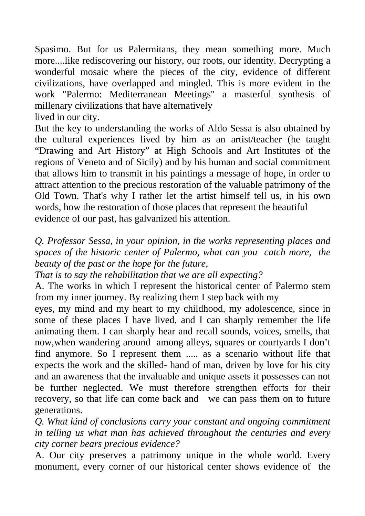Spasimo. But for us Palermitans, they mean something more. Much more....like rediscovering our history, our roots, our identity. Decrypting a wonderful mosaic where the pieces of the city, evidence of different civilizations, have overlapped and mingled. This is more evident in the work "Palermo: Mediterranean Meetings" a masterful synthesis of millenary civilizations that have alternatively

lived in our city.

But the key to understanding the works of Aldo Sessa is also obtained by the cultural experiences lived by him as an artist/teacher (he taught "Drawing and Art History" at High Schools and Art Institutes of the regions of Veneto and of Sicily) and by his human and social commitment that allows him to transmit in his paintings a message of hope, in order to attract attention to the precious restoration of the valuable patrimony of the Old Town. That's why I rather let the artist himself tell us, in his own words, how the restoration of those places that represent the beautiful evidence of our past, has galvanized his attention.

*Q. Professor Sessa, in your opinion, in the works representing places and spaces of the historic center of Palermo, what can you catch more, the beauty of the past or the hope for the future,* 

*That is to say the rehabilitation that we are all expecting?* 

A. The works in which I represent the historical center of Palermo stem from my inner journey. By realizing them I step back with my

eyes, my mind and my heart to my childhood, my adolescence, since in some of these places I have lived, and I can sharply remember the life animating them. I can sharply hear and recall sounds, voices, smells, that now,when wandering around among alleys, squares or courtyards I don't find anymore. So I represent them ..... as a scenario without life that expects the work and the skilled- hand of man, driven by love for his city and an awareness that the invaluable and unique assets it possesses can not be further neglected. We must therefore strengthen efforts for their recovery, so that life can come back and we can pass them on to future generations.

*Q. What kind of conclusions carry your constant and ongoing commitment in telling us what man has achieved throughout the centuries and every city corner bears precious evidence?* 

A. Our city preserves a patrimony unique in the whole world. Every monument, every corner of our historical center shows evidence of the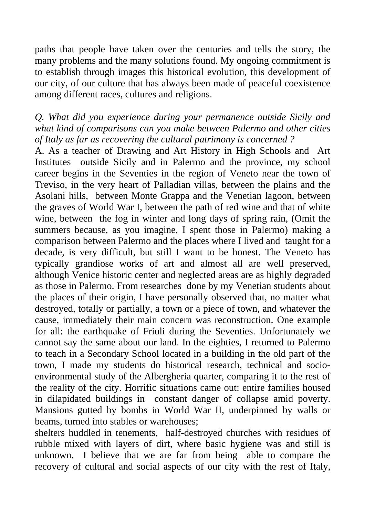paths that people have taken over the centuries and tells the story, the many problems and the many solutions found. My ongoing commitment is to establish through images this historical evolution, this development of our city, of our culture that has always been made of peaceful coexistence among different races, cultures and religions.

## *Q. What did you experience during your permanence outside Sicily and what kind of comparisons can you make between Palermo and other cities of Italy as far as recovering the cultural patrimony is concerned ?*

A. As a teacher of Drawing and Art History in High Schools and Art Institutes outside Sicily and in Palermo and the province, my school career begins in the Seventies in the region of Veneto near the town of Treviso, in the very heart of Palladian villas, between the plains and the Asolani hills, between Monte Grappa and the Venetian lagoon, between the graves of World War I, between the path of red wine and that of white wine, between the fog in winter and long days of spring rain, (Omit the summers because, as you imagine, I spent those in Palermo) making a comparison between Palermo and the places where I lived and taught for a decade, is very difficult, but still I want to be honest. The Veneto has typically grandiose works of art and almost all are well preserved, although Venice historic center and neglected areas are as highly degraded as those in Palermo. From researches done by my Venetian students about the places of their origin, I have personally observed that, no matter what destroyed, totally or partially, a town or a piece of town, and whatever the cause, immediately their main concern was reconstruction. One example for all: the earthquake of Friuli during the Seventies. Unfortunately we cannot say the same about our land. In the eighties, I returned to Palermo to teach in a Secondary School located in a building in the old part of the town, I made my students do historical research, technical and socioenvironmental study of the Albergheria quarter, comparing it to the rest of the reality of the city. Horrific situations came out: entire families housed in dilapidated buildings in constant danger of collapse amid poverty. Mansions gutted by bombs in World War II, underpinned by walls or beams, turned into stables or warehouses;

shelters huddled in tenements, half-destroyed churches with residues of rubble mixed with layers of dirt, where basic hygiene was and still is unknown. I believe that we are far from being able to compare the recovery of cultural and social aspects of our city with the rest of Italy,